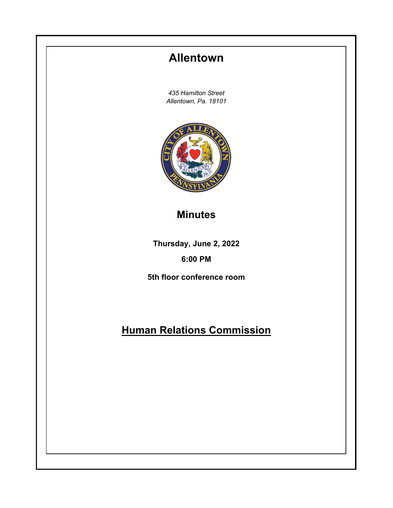# **Allentown**

*435 Hamilton Street Allentown, Pa. 18101*



### **Minutes**

**Thursday, June 2, 2022**

### **6:00 PM**

**5th floor conference room**

## **Human Relations Commission**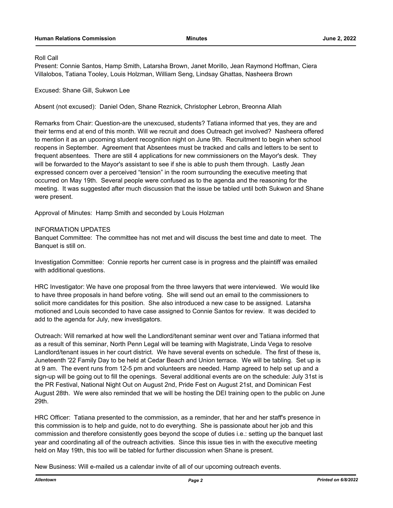#### Roll Call

Present: Connie Santos, Hamp Smith, Latarsha Brown, Janet Morillo, Jean Raymond Hoffman, Ciera Villalobos, Tatiana Tooley, Louis Holzman, William Seng, Lindsay Ghattas, Nasheera Brown

Excused: Shane Gill, Sukwon Lee

Absent (not excused): Daniel Oden, Shane Reznick, Christopher Lebron, Breonna Allah

Remarks from Chair: Question-are the unexcused, students? Tatiana informed that yes, they are and their terms end at end of this month. Will we recruit and does Outreach get involved? Nasheera offered to mention it as an upcoming student recognition night on June 9th. Recruitment to begin when school reopens in September. Agreement that Absentees must be tracked and calls and letters to be sent to frequent absentees. There are still 4 applications for new commissioners on the Mayor's desk. They will be forwarded to the Mayor's assistant to see if she is able to push them through. Lastly Jean expressed concern over a perceived "tension" in the room surrounding the executive meeting that occurred on May 19th. Several people were confused as to the agenda and the reasoning for the meeting. It was suggested after much discussion that the issue be tabled until both Sukwon and Shane were present.

Approval of Minutes: Hamp Smith and seconded by Louis Holzman

#### INFORMATION UPDATES

Banquet Committee: The committee has not met and will discuss the best time and date to meet. The Banquet is still on.

Investigation Committee: Connie reports her current case is in progress and the plaintiff was emailed with additional questions.

HRC Investigator: We have one proposal from the three lawyers that were interviewed. We would like to have three proposals in hand before voting. She will send out an email to the commissioners to solicit more candidates for this position. She also introduced a new case to be assigned. Latarsha motioned and Louis seconded to have case assigned to Connie Santos for review. It was decided to add to the agenda for July, new investigators.

Outreach: Will remarked at how well the Landlord/tenant seminar went over and Tatiana informed that as a result of this seminar, North Penn Legal will be teaming with Magistrate, Linda Vega to resolve Landlord/tenant issues in her court district. We have several events on schedule. The first of these is, Juneteenth '22 Family Day to be held at Cedar Beach and Union terrace. We will be tabling. Set up is at 9 am. The event runs from 12-5 pm and volunteers are needed. Hamp agreed to help set up and a sign-up will be going out to fill the openings. Several additional events are on the schedule: July 31st is the PR Festival, National Night Out on August 2nd, Pride Fest on August 21st, and Dominican Fest August 28th. We were also reminded that we will be hosting the DEI training open to the public on June 29th.

HRC Officer: Tatiana presented to the commission, as a reminder, that her and her staff's presence in this commission is to help and guide, not to do everything. She is passionate about her job and this commission and therefore consistently goes beyond the scope of duties i.e.: setting up the banquet last year and coordinating all of the outreach activities. Since this issue ties in with the executive meeting held on May 19th, this too will be tabled for further discussion when Shane is present.

New Business: Will e-mailed us a calendar invite of all of our upcoming outreach events.